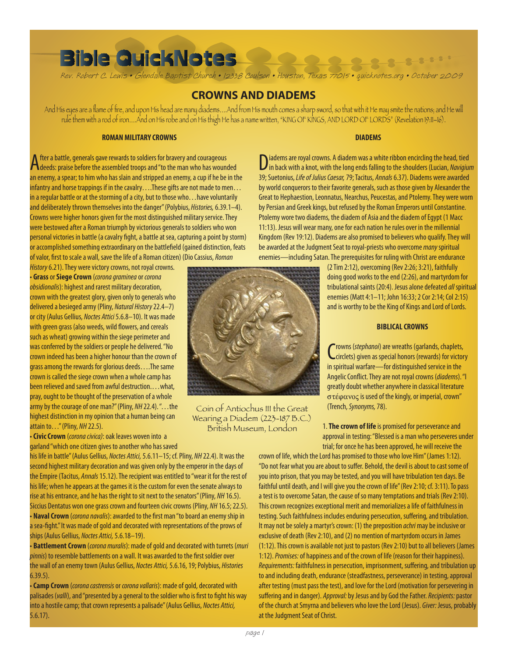# **Bible QuickNotes**

Rev. Robert C. Lewis • Glendale Baptist Church • 12338 Coulson • Houston, Texas 77015 • quicknotes.org • October 2009

## **CROWNS AND DIADEMS**

And His eyes are a flame of fire, and upon His head are many diadems….And from His mouth comes a sharp sword, so that with it He may smite the nations; and He will rule them with a rod of iron….And on His robe and on His thigh He has a name written, "KING OF KINGS, AND LORD OF LORDS" (Revelation 19:11–16).

#### **ROMAN MILITARY CROWNS**

After a battle, generals gave rewards to soldiers for bravery and courageous deeds: praise before the assembled troops and "to the man who has wounded an enemy, a spear; to him who has slain and stripped an enemy, a cup if he be in the infantry and horse trappings if in the cavalry….These gifts are not made to men… in a regular battle or at the storming of a city, but to those who…have voluntarily and deliberately thrown themselves into the danger" (Polybius, *Histories,* 6.39.1–4). Crowns were higher honors given for the most distinguished military service. They were bestowed after a Roman triumph by victorious generals to soldiers who won personal victories in battle (a cavalry fight, a battle at sea, capturing a point by storm) or accomplished something extraordinary on the battlefield (gained distinction, feats of valor, first to scale a wall, save the life of a Roman citizen) (Dio Cassius, *Roman* 

*History* 6.21). They were victory crowns, not royal crowns. • **Grass** or **Siege Crown** (*corona graminea* or *corona obsidionalis*): highest and rarest military decoration, crown with the greatest glory, given only to generals who delivered a besieged army (Pliny, *Natural History* 22.4–7) or city (Aulus Gellius, *Noctes Attici* 5.6.8–10). It was made with green grass (also weeds, wild flowers, and cereals such as wheat) growing within the siege perimeter and was conferred by the soldiers or people he delivered. "No crown indeed has been a higher honour than the crown of grass among the rewards for glorious deeds….The same crown is called the siege crown when a whole camp has been relieved and saved from awful destruction....what, pray, ought to be thought of the preservation of a whole army by the courage of one man?" (Pliny, *NH* 22.4). "…the highest distinction in my opinion that a human being can attain to…" (Pliny, *NH* 22.5).

• **Civic Crown** (*corona civica)*: oak leaves woven into a garland "which one citizen gives to another who has saved

his life in battle" (Aulus Gellius, *Noctes Attici,* 5.6.11–15; cf. Pliny, *NH* 22.4). It was the second highest military decoration and was given only by the emperor in the days of the Empire (Tacitus, *Annals* 15.12). The recipient was entitled to "wear it for the rest of his life; when he appears at the games it is the custom for even the senate always to rise at his entrance, and he has the right to sit next to the senators" (Pliny, *NH* 16.5). Siccius Dentatus won one grass crown and fourteen civic crowns (Pliny, *NH* 16.5; 22.5). • **Naval Crown** (*corona navalis*): awarded to the first man "to board an enemy ship in a sea-fight." It was made of gold and decorated with representations of the prows of ships (Aulus Gellius, *Noctes Attici,* 5.6.18–19).

• **Battlement Crown** (*corona muralis*): made of gold and decorated with turrets (*muri pinnis*) to resemble battlements on a wall. It was awarded to the first soldier over the wall of an enemy town (Aulus Gellius, *Noctes Attici,* 5.6.16, 19; Polybius, *Histories* 6.39.5).

• **Camp Crown** (*corona castrensis* or *corona vallaris*): made of gold, decorated with palisades (*valli*), and "presented by a general to the soldier who is first to fight his way into a hostile camp; that crown represents a palisade" (Aulus Gellius, *Noctes Attici,* 5.6.17).



Coin of Antiochus III the Great Wearing a Diadem (223-187 B.C.) British Museum, London

#### **DIADEMS**

0000000000

Diadems are royal crowns. A diadem was a white ribbon encircling the head, tied in back with a knot, with the long ends falling to the shoulders (Lucian, *Navigium* 39; Suetonius, *Life of Julius Caesar,* 79; Tacitus, *Annals* 6.37). Diadems were awarded by world conquerors to their favorite generals, such as those given by Alexander the Great to Hephaestion, Leonnatus, Nearchus, Peucestas, and Ptolemy. They were worn by Persian and Greek kings, but refused by the Roman Emperors until Constantine. Ptolemy wore two diadems, the diadem of Asia and the diadem of Egypt (1 Macc 11:13). Jesus will wear many, one for each nation he rules over in the millennial Kingdom (Rev 19:12). Diadems are also promised to believers who qualify. They will be awarded at the Judgment Seat to royal-priests who overcome *many* spiritual enemies—including Satan. The prerequisites for ruling with Christ are endurance

> (2 Tim 2:12), overcoming (Rev 2:26; 3:21), faithfully doing good works to the end (2:26), and martyrdom for tribulational saints (20:4). Jesus alone defeated *all* spiritual enemies (Matt 4:1–11; John 16:33; 2 Cor 2:14; Col 2:15) and is worthy to be the King of Kings and Lord of Lords.

#### **BIBLICAL CROWNS**

Crowns (stephanoi) are wreaths (garlands, chaplets,<br>Ccirclets) given as special honors (rewards) for victory rowns (*stephanoi*) are wreaths (garlands, chaplets, in spiritual warfare—for distinguished service in the Angelic Conflict. They are not royal crowns (*diadems*). "I greatly doubt whether anywhere in classical literature  $\sigma$ τέφανος is used of the kingly, or imperial, crown" (Trench, *Synonyms,* 78).

1. **The crown of life** is promised for perseverance and approval in testing: "Blessed is a man who perseveres under trial; for once he has been approved, he will receive the

crown of life, which the Lord has promised to those who love Him" (James 1:12). "Do not fear what you are about to suffer. Behold, the devil is about to cast some of you into prison, that you may be tested, and you will have tribulation ten days. Be faithful until death, and I will give you the crown of life" (Rev 2:10; cf. 3:11). To pass a test is to overcome Satan, the cause of so many temptations and trials (Rev 2:10). This crown recognizes exceptional merit and memorializes a life of faithfulness in testing. Such faithfulness includes enduring persecution, suffering, and tribulation. It may not be solely a martyr's crown: (1) the preposition *achri* may be inclusive or exclusive of death (Rev 2:10), and (2) no mention of martyrdom occurs in James (1:12). This crown is available not just to pastors (Rev 2:10) but to all believers (James 1:12). *Promises:* of happiness and of the crown of life (reason for their happiness). *Requirements:* faithfulness in persecution, imprisonment, suffering, and tribulation up to and including death, endurance (steadfastness, perseverance) in testing, approval after testing (must pass the test), and love for the Lord (motivation for persevering in suffering and in danger). *Approval:* by Jesus and by God the Father. *Recipients:* pastor of the church at Smyrna and believers who love the Lord (Jesus). *Giver:* Jesus, probably at the Judgment Seat of Christ.